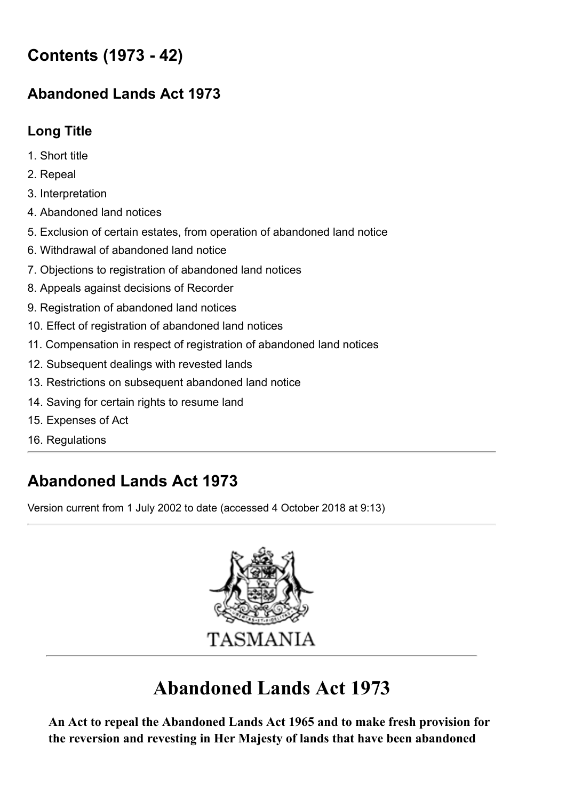# **Contents (1973 - 42)**

# **[Abandoned](https://www.legislation.tas.gov.au/view/html/inforce/current/act-1973-042) Lands Act 1973**

# **[Long](#page-0-0) Title**

- 1. [Short](#page-1-0) title
- 2. [Repeal](#page-1-1)
- 3. [Interpretation](#page-1-2)
- 4. [Abandoned](#page-1-3) land notices
- 5. Exclusion of certain estates, from operation of [abandoned](#page-2-0) land notice
- 6. Withdrawal of [abandoned](#page-3-0) land notice
- 7. Objections to registration of [abandoned](#page-3-1) land notices
- 8. Appeals against [decisions](#page-4-0) of Recorder
- 9. [Registration](#page-4-1) of abandoned land notices
- 10. Effect of registration of [abandoned](#page-6-0) land notices
- 11. [Compensation](#page-6-1) in respect of registration of abandoned land notices
- 12. [Subsequent](#page-7-0) dealings with revested lands
- 13. [Restrictions](#page-8-0) on subsequent abandoned land notice
- 14. Saving for certain rights to [resume](#page-8-1) land
- 15. [Expenses](#page-8-2) of Act
- 16. [Regulations](#page-8-3)

# **Abandoned Lands Act 1973**

Version current from 1 July 2002 to date (accessed 4 October 2018 at 9:13)



# **Abandoned Lands Act 1973**

<span id="page-0-0"></span>**An Act to repeal the [Abandoned](https://www.legislation.tas.gov.au/view/html/inforce/2002-07-01/act-9999-999) Lands Act 1965 and to make fresh provision for the reversion and revesting in Her Majesty of lands that have been abandoned**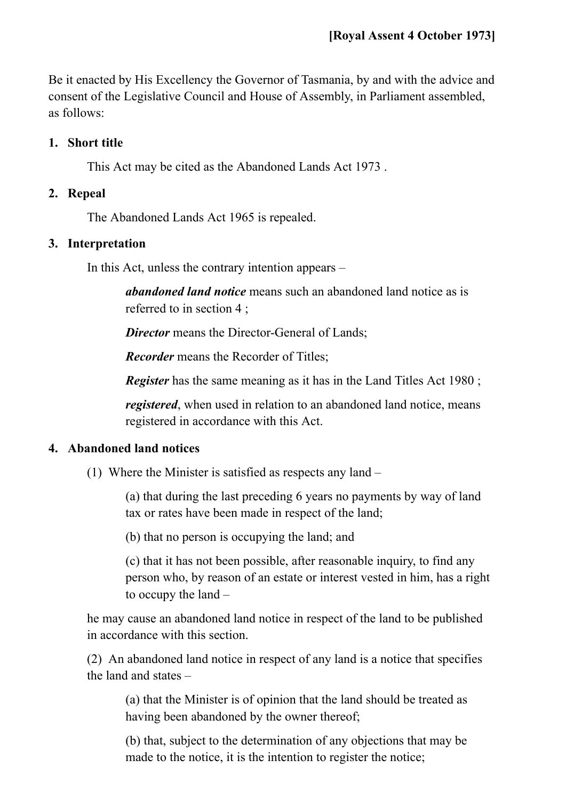Be it enacted by His Excellency the Governor of Tasmania, by and with the advice and consent of the Legislative Council and House of Assembly, in Parliament assembled, as follows:

#### <span id="page-1-0"></span>**1. Short title**

This Act may be cited as the [Abandoned](https://www.legislation.tas.gov.au/view/html/inforce/2002-07-01/act-1973-042) Lands Act 1973 .

#### <span id="page-1-1"></span>**2. Repeal**

The [Abandoned](https://www.legislation.tas.gov.au/view/html/inforce/2002-07-01/act-9999-999) Lands Act 1965 is repealed.

#### <span id="page-1-2"></span>**3. Interpretation**

In this Act, unless the contrary intention appears –

*abandoned land notice* means such an abandoned land notice as is referred to in [section](#page-1-3) 4 ;

*Director* means the Director-General of Lands:

*Recorder* means the Recorder of Titles;

*Register* has the same meaning as it has in the Land [Titles](https://www.legislation.tas.gov.au/view/html/inforce/2002-07-01/act-1980-019) Act 1980;

*registered*, when used in relation to an abandoned land notice, means registered in accordance with this Act.

#### <span id="page-1-3"></span>**4. Abandoned land notices**

(1) Where the Minister is satisfied as respects any land –

(a) that during the last preceding 6 years no payments by way of land tax or rates have been made in respect of the land;

(b) that no person is occupying the land; and

(c) that it has not been possible, after reasonable inquiry, to find any person who, by reason of an estate or interest vested in him, has a right to occupy the land –

he may cause an abandoned land notice in respect of the land to be published in accordance with this section.

<span id="page-1-4"></span>(2) An abandoned land notice in respect of any land is a notice that specifies the land and states –

(a) that the Minister is of opinion that the land should be treated as having been abandoned by the owner thereof;

(b) that, subject to the determination of any objections that may be made to the notice, it is the intention to register the notice;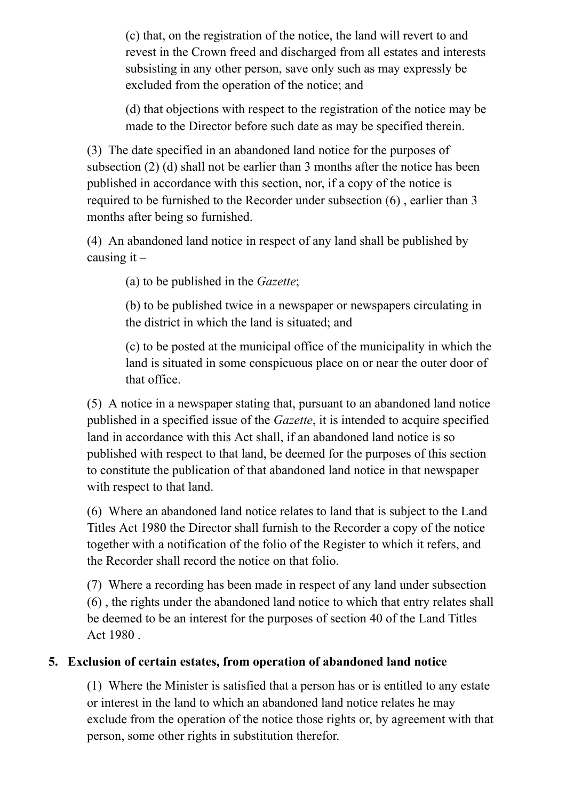(c) that, on the registration of the notice, the land will revert to and revest in the Crown freed and discharged from all estates and interests subsisting in any other person, save only such as may expressly be excluded from the operation of the notice; and

<span id="page-2-1"></span>(d) that objections with respect to the registration of the notice may be made to the Director before such date as may be specified therein.

(3) The date specified in an abandoned land notice for the purposes of [subsection](#page-1-4) (2) [\(d\)](#page-2-1) shall not be earlier than 3 months after the notice has been published in accordance with this section, nor, if a copy of the notice is required to be furnished to the Recorder under [subsection](#page-2-2) (6) , earlier than 3 months after being so furnished.

(4) An abandoned land notice in respect of any land shall be published by causing it  $-$ 

(a) to be published in the *Gazette*;

(b) to be published twice in a newspaper or newspapers circulating in the district in which the land is situated; and

(c) to be posted at the municipal office of the municipality in which the land is situated in some conspicuous place on or near the outer door of that office.

(5) A notice in a newspaper stating that, pursuant to an abandoned land notice published in a specified issue of the *Gazette*, it is intended to acquire specified land in accordance with this Act shall, if an abandoned land notice is so published with respect to that land, be deemed for the purposes of this section to constitute the publication of that abandoned land notice in that newspaper with respect to that land.

<span id="page-2-2"></span>(6) Where an [abandoned](https://www.legislation.tas.gov.au/view/html/inforce/2002-07-01/act-1980-019) land notice relates to land that is subject to the Land Titles Act 1980 the Director shall furnish to the Recorder a copy of the notice together with a notification of the folio of the Register to which it refers, and the Recorder shall record the notice on that folio.

(7) Where a recording has been made in respect of any land under subsection (6) , the rights under the [abandoned](#page-2-2) land notice to which that entry relates shall be deemed to be an interest for the [purposes](https://www.legislation.tas.gov.au/view/html/inforce/2002-07-01/act-1980-019) of [section](https://www.legislation.tas.gov.au/view/html/inforce/2002-07-01/act-1980-019#GS40@EN) 40 of the Land Titles Act 1980 .

## <span id="page-2-0"></span>**5. Exclusion of certain estates, from operation of abandoned land notice**

(1) Where the Minister is satisfied that a person has or is entitled to any estate or interest in the land to which an abandoned land notice relates he may exclude from the operation of the notice those rights or, by agreement with that person, some other rights in substitution therefor.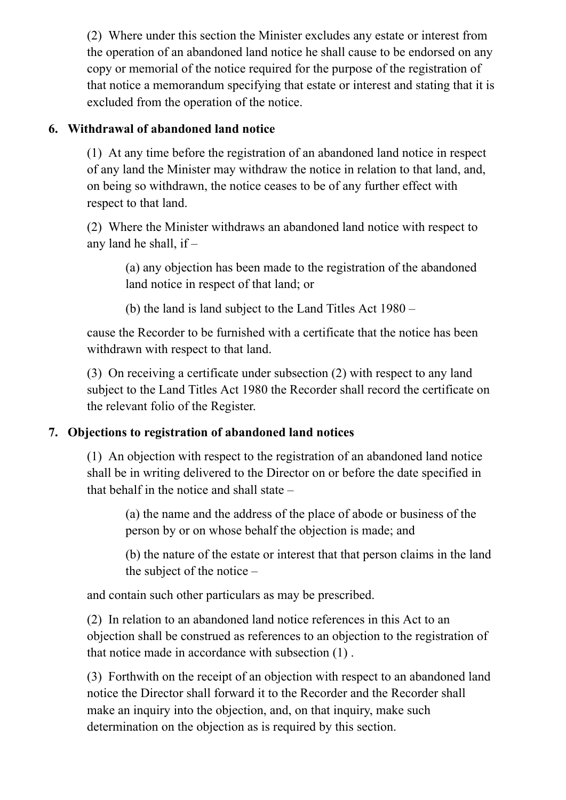(2) Where under this section the Minister excludes any estate or interest from the operation of an abandoned land notice he shall cause to be endorsed on any copy or memorial of the notice required for the purpose of the registration of that notice a memorandum specifying that estate or interest and stating that it is excluded from the operation of the notice.

## <span id="page-3-0"></span>**6. Withdrawal of abandoned land notice**

(1) At any time before the registration of an abandoned land notice in respect of any land the Minister may withdraw the notice in relation to that land, and, on being so withdrawn, the notice ceases to be of any further effect with respect to that land.

<span id="page-3-2"></span>(2) Where the Minister withdraws an abandoned land notice with respect to any land he shall, if –

(a) any objection has been made to the registration of the abandoned land notice in respect of that land; or

(b) the land is land subject to the Land [Titles](https://www.legislation.tas.gov.au/view/html/inforce/2002-07-01/act-1980-019) Act 1980 –

cause the Recorder to be furnished with a certificate that the notice has been withdrawn with respect to that land.

(3) On receiving a certificate under [subsection](#page-3-2) (2) with respect to any land subject to the Land [Titles](https://www.legislation.tas.gov.au/view/html/inforce/2002-07-01/act-1980-019) Act 1980 the Recorder shall record the certificate on the relevant folio of the Register.

## <span id="page-3-1"></span>**7. Objections to registration of abandoned land notices**

<span id="page-3-3"></span>(1) An objection with respect to the registration of an abandoned land notice shall be in writing delivered to the Director on or before the date specified in that behalf in the notice and shall state –

(a) the name and the address of the place of abode or business of the person by or on whose behalf the objection is made; and

(b) the nature of the estate or interest that that person claims in the land the subject of the notice –

and contain such other particulars as may be prescribed.

(2) In relation to an abandoned land notice references in this Act to an objection shall be construed as references to an objection to the registration of that notice made in accordance with [subsection](#page-3-3) (1) .

(3) Forthwith on the receipt of an objection with respect to an abandoned land notice the Director shall forward it to the Recorder and the Recorder shall make an inquiry into the objection, and, on that inquiry, make such determination on the objection as is required by this section.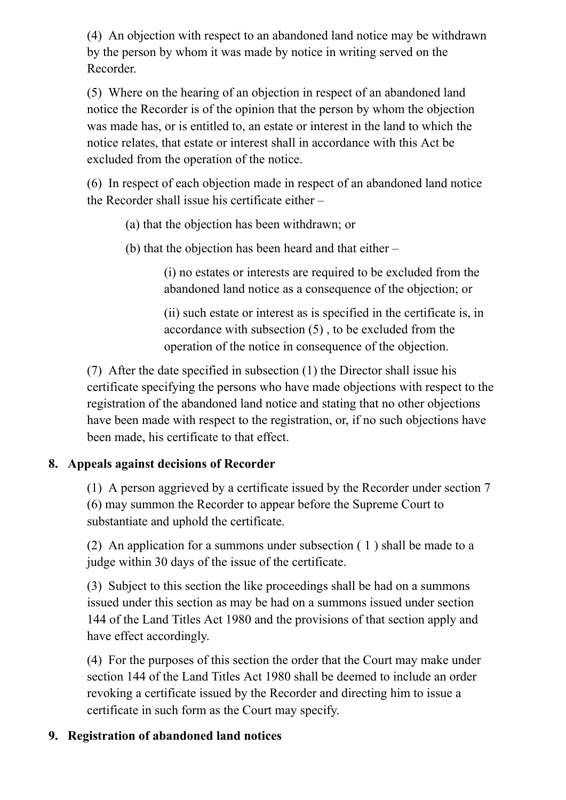(4) An objection with respect to an abandoned land notice may be withdrawn by the person by whom it was made by notice in writing served on the Recorder.

<span id="page-4-2"></span>(5) Where on the hearing of an objection in respect of an abandoned land notice the Recorder is of the opinion that the person by whom the objection was made has, or is entitled to, an estate or interest in the land to which the notice relates, that estate or interest shall in accordance with this Act be excluded from the operation of the notice.

<span id="page-4-3"></span>(6) In respect of each objection made in respect of an abandoned land notice the Recorder shall issue his certificate either –

(a) that the objection has been withdrawn; or

(b) that the objection has been heard and that either –

(i) no estates or interests are required to be excluded from the abandoned land notice as a consequence of the objection; or

(ii) such estate or interest as is specified in the certificate is, in accordance with [subsection](#page-4-2) (5) , to be excluded from the operation of the notice in consequence of the objection.

<span id="page-4-4"></span>(7) After the date specified in [subsection](#page-3-3) (1) the Director shall issue his certificate specifying the persons who have made objections with respect to the registration of the abandoned land notice and stating that no other objections have been made with respect to the registration, or, if no such objections have been made, his certificate to that effect.

# <span id="page-4-0"></span>**8. Appeals against decisions of Recorder**

(1) A person aggrieved by a certificate issued by the Recorder under [section](#page-3-1) 7 [\(6\)](#page-4-3) may summon the Recorder to appear before the Supreme Court to substantiate and uphold the certificate.

(2) An application for a summons under subsection  $(1)$  $(1)$  $(1)$  shall be made to a judge within 30 days of the issue of the certificate.

(3) Subject to this section the like proceedings shall be had on a summons issued under this section as may be had on a summons issued under section 144 of the Land [Titles](https://www.legislation.tas.gov.au/view/html/inforce/2002-07-01/act-1980-019) Act 1980 and the [provisions](https://www.legislation.tas.gov.au/view/html/inforce/2002-07-01/act-1980-019#GS144@EN) of that section apply and have effect accordingly.

(4) For the purposes of this section the order that the Court may make under [section](https://www.legislation.tas.gov.au/view/html/inforce/2002-07-01/act-1980-019#GS144@EN) 144 of the Land [Titles](https://www.legislation.tas.gov.au/view/html/inforce/2002-07-01/act-1980-019) Act 1980 shall be deemed to include an order revoking a certificate issued by the Recorder and directing him to issue a certificate in such form as the Court may specify.

## <span id="page-4-1"></span>**9. Registration of abandoned land notices**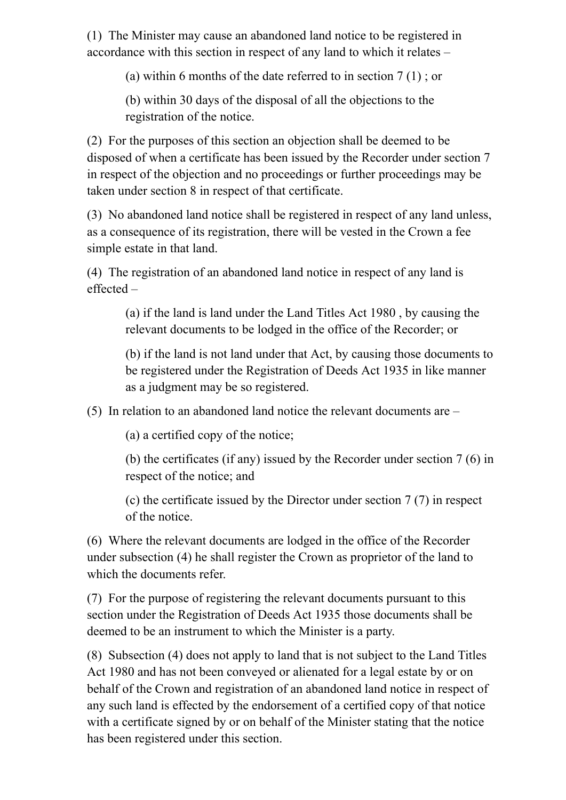(1) The Minister may cause an abandoned land notice to be registered in accordance with this section in respect of any land to which it relates –

(a) within 6 months of the date referred to in [section](#page-3-1) 7 [\(1\)](#page-3-3) ; or

(b) within 30 days of the disposal of all the objections to the registration of the notice.

(2) For the purposes of this section an objection shall be deemed to be disposed of when a certificate has been issued by the Recorder under [section](#page-3-1) 7 in respect of the objection and no proceedings or further proceedings may be taken under [section](#page-4-0) 8 in respect of that certificate.

(3) No abandoned land notice shall be registered in respect of any land unless, as a consequence of its registration, there will be vested in the Crown a fee simple estate in that land.

<span id="page-5-0"></span>(4) The registration of an abandoned land notice in respect of any land is effected –

(a) if the land is land under the Land [Titles](https://www.legislation.tas.gov.au/view/html/inforce/2002-07-01/act-1980-019) Act 1980 , by causing the relevant documents to be lodged in the office of the Recorder; or

(b) if the land is not land under that Act, by causing those documents to be registered under the [Registration](https://www.legislation.tas.gov.au/view/html/inforce/2002-07-01/act-1935-024) of Deeds Act 1935 in like manner as a judgment may be so registered.

(5) In relation to an abandoned land notice the relevant documents are –

(a) a certified copy of the notice;

(b) the certificates (if any) issued by the Recorder under [section](#page-3-1) 7 [\(6\)](#page-4-3) in respect of the notice; and

(c) the certificate issued by the Director under [section](#page-3-1) 7 [\(7\)](#page-4-4) in respect of the notice.

(6) Where the relevant documents are lodged in the office of the Recorder under [subsection](#page-5-0) (4) he shall register the Crown as proprietor of the land to which the documents refer.

(7) For the purpose of registering the relevant documents pursuant to this section under the [Registration](https://www.legislation.tas.gov.au/view/html/inforce/2002-07-01/act-1935-024) of Deeds Act 1935 those documents shall be deemed to be an instrument to which the Minister is a party.

<span id="page-5-1"></span>(8) [Subsection](https://www.legislation.tas.gov.au/view/html/inforce/2002-07-01/act-1980-019) (4) does not apply to land that is not subject to the Land Titles Act 1980 and has not been conveyed or alienated for a legal estate by or on behalf of the Crown and registration of an abandoned land notice in respect of any such land is effected by the endorsement of a certified copy of that notice with a certificate signed by or on behalf of the Minister stating that the notice has been registered under this section.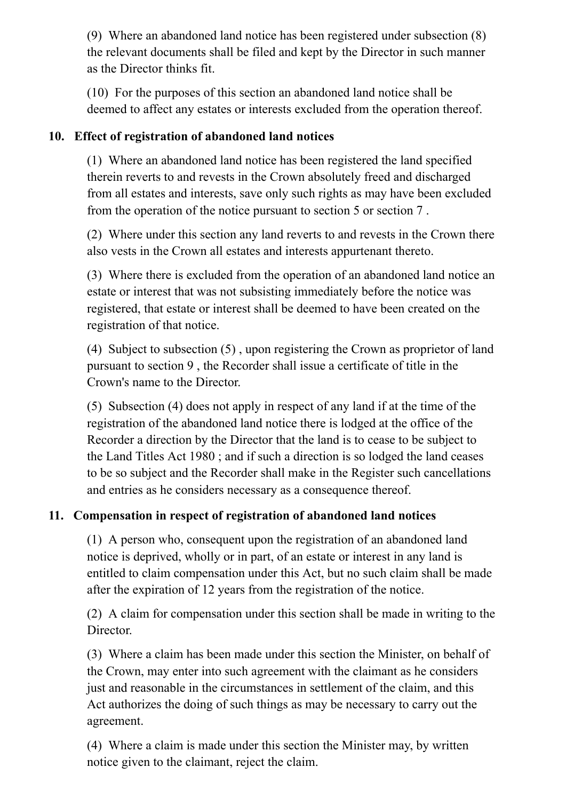(9) Where an abandoned land notice has been registered under [subsection](#page-5-1) (8) the relevant documents shall be filed and kept by the Director in such manner as the Director thinks fit.

(10) For the purposes of this section an abandoned land notice shall be deemed to affect any estates or interests excluded from the operation thereof.

## <span id="page-6-0"></span>**10. Effect of registration of abandoned land notices**

(1) Where an abandoned land notice has been registered the land specified therein reverts to and revests in the Crown absolutely freed and discharged from all estates and interests, save only such rights as may have been excluded from the operation of the notice pursuant to [section](#page-2-0) 5 or [section](#page-3-1) 7 .

(2) Where under this section any land reverts to and revests in the Crown there also vests in the Crown all estates and interests appurtenant thereto.

(3) Where there is excluded from the operation of an abandoned land notice an estate or interest that was not subsisting immediately before the notice was registered, that estate or interest shall be deemed to have been created on the registration of that notice.

<span id="page-6-3"></span>(4) Subject to [subsection](#page-6-2) (5) , upon registering the Crown as proprietor of land pursuant to [section](#page-4-1) 9 , the Recorder shall issue a certificate of title in the Crown's name to the Director.

<span id="page-6-2"></span>(5) [Subsection](#page-6-3) (4) does not apply in respect of any land if at the time of the registration of the abandoned land notice there is lodged at the office of the Recorder a direction by the Director that the land is to cease to be subject to the Land [Titles](https://www.legislation.tas.gov.au/view/html/inforce/2002-07-01/act-1980-019) Act 1980 ; and if such a direction is so lodged the land ceases to be so subject and the Recorder shall make in the Register such cancellations and entries as he considers necessary as a consequence thereof.

# <span id="page-6-1"></span>**11. Compensation in respect of registration of abandoned land notices**

(1) A person who, consequent upon the registration of an abandoned land notice is deprived, wholly or in part, of an estate or interest in any land is entitled to claim compensation under this Act, but no such claim shall be made after the expiration of 12 years from the registration of the notice.

(2) A claim for compensation under this section shall be made in writing to the Director.

(3) Where a claim has been made under this section the Minister, on behalf of the Crown, may enter into such agreement with the claimant as he considers just and reasonable in the circumstances in settlement of the claim, and this Act authorizes the doing of such things as may be necessary to carry out the agreement.

(4) Where a claim is made under this section the Minister may, by written notice given to the claimant, reject the claim.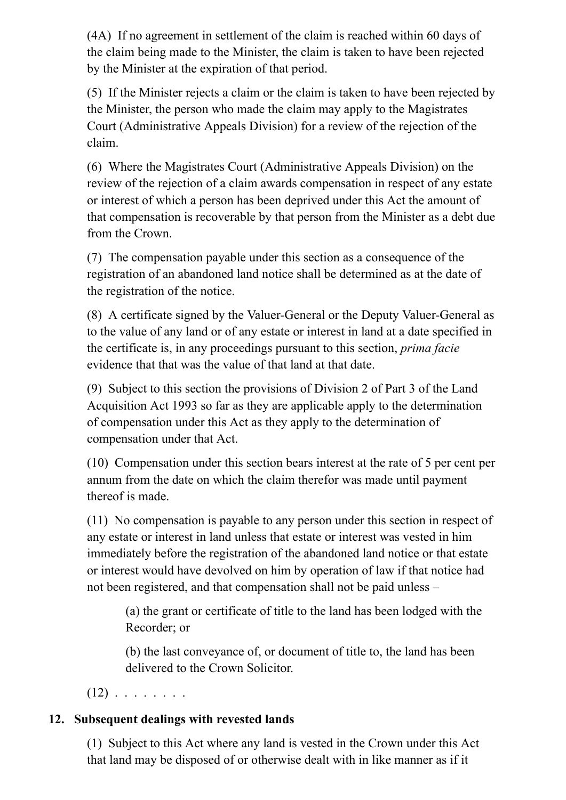(4A) If no agreement in settlement of the claim is reached within 60 days of the claim being made to the Minister, the claim is taken to have been rejected by the Minister at the expiration of that period.

(5) If the Minister rejects a claim or the claim is taken to have been rejected by the Minister, the person who made the claim may apply to the Magistrates Court (Administrative Appeals Division) for a review of the rejection of the claim.

(6) Where the Magistrates Court (Administrative Appeals Division) on the review of the rejection of a claim awards compensation in respect of any estate or interest of which a person has been deprived under this Act the amount of that compensation is recoverable by that person from the Minister as a debt due from the Crown.

(7) The compensation payable under this section as a consequence of the registration of an abandoned land notice shall be determined as at the date of the registration of the notice.

(8) A certificate signed by the Valuer-General or the Deputy Valuer-General as to the value of any land or of any estate or interest in land at a date specified in the certificate is, in any proceedings pursuant to this section, *prima facie* evidence that that was the value of that land at that date.

(9) Subject to this section the provisions of [Division](https://www.legislation.tas.gov.au/view/html/inforce/2002-07-01/act-1993-023#HP3@HD2@EN) 2 of Part 3 of the Land Acquisition Act 1993 so far as they are applicable apply to the [determination](https://www.legislation.tas.gov.au/view/html/inforce/2002-07-01/act-1993-023) of compensation under this Act as they apply to the determination of compensation under that Act.

(10) Compensation under this section bears interest at the rate of 5 per cent per annum from the date on which the claim therefor was made until payment thereof is made.

(11) No compensation is payable to any person under this section in respect of any estate or interest in land unless that estate or interest was vested in him immediately before the registration of the abandoned land notice or that estate or interest would have devolved on him by operation of law if that notice had not been registered, and that compensation shall not be paid unless –

(a) the grant or certificate of title to the land has been lodged with the Recorder; or

(b) the last conveyance of, or document of title to, the land has been delivered to the Crown Solicitor.

 $(12)$  . . . . . . . .

# <span id="page-7-0"></span>**12. Subsequent dealings with revested lands**

<span id="page-7-1"></span>(1) Subject to this Act where any land is vested in the Crown under this Act that land may be disposed of or otherwise dealt with in like manner as if it